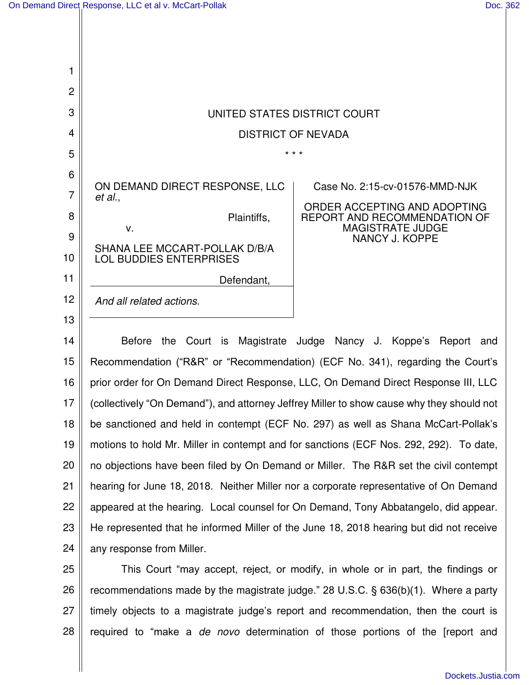

19 20 21 22 23 24 motions to hold Mr. Miller in contempt and for sanctions (ECF Nos. 292, 292). To date, no objections have been filed by On Demand or Miller. The R&R set the civil contempt hearing for June 18, 2018. Neither Miller nor a corporate representative of On Demand appeared at the hearing. Local counsel for On Demand, Tony Abbatangelo, did appear. He represented that he informed Miller of the June 18, 2018 hearing but did not receive any response from Miller.

25 26 27 28 This Court "may accept, reject, or modify, in whole or in part, the findings or recommendations made by the magistrate judge." 28 U.S.C. § 636(b)(1). Where a party timely objects to a magistrate judge's report and recommendation, then the court is required to "make a *de novo* determination of those portions of the [report and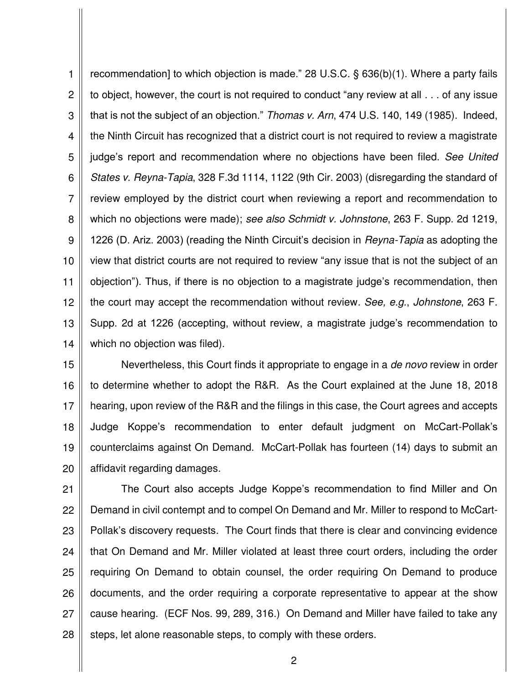1 2 3 4 5 6 7 8 9 10 11 12 13 14 recommendation] to which objection is made." 28 U.S.C. § 636(b)(1). Where a party fails to object, however, the court is not required to conduct "any review at all . . . of any issue that is not the subject of an objection." *Thomas v. Arn*, 474 U.S. 140, 149 (1985). Indeed, the Ninth Circuit has recognized that a district court is not required to review a magistrate judge's report and recommendation where no objections have been filed. *See United States v. Reyna-Tapia*, 328 F.3d 1114, 1122 (9th Cir. 2003) (disregarding the standard of review employed by the district court when reviewing a report and recommendation to which no objections were made); *see also Schmidt v. Johnstone*, 263 F. Supp. 2d 1219, 1226 (D. Ariz. 2003) (reading the Ninth Circuit's decision in *Reyna-Tapia* as adopting the view that district courts are not required to review "any issue that is not the subject of an objection"). Thus, if there is no objection to a magistrate judge's recommendation, then the court may accept the recommendation without review*. See, e.g.*, *Johnstone*, 263 F. Supp. 2d at 1226 (accepting, without review, a magistrate judge's recommendation to which no objection was filed).

15 16 17 18 19 20 Nevertheless, this Court finds it appropriate to engage in a *de novo* review in order to determine whether to adopt the R&R. As the Court explained at the June 18, 2018 hearing, upon review of the R&R and the filings in this case, the Court agrees and accepts Judge Koppe's recommendation to enter default judgment on McCart-Pollak's counterclaims against On Demand. McCart-Pollak has fourteen (14) days to submit an affidavit regarding damages.

21 22 23 24 25 26 27 28 The Court also accepts Judge Koppe's recommendation to find Miller and On Demand in civil contempt and to compel On Demand and Mr. Miller to respond to McCart-Pollak's discovery requests. The Court finds that there is clear and convincing evidence that On Demand and Mr. Miller violated at least three court orders, including the order requiring On Demand to obtain counsel, the order requiring On Demand to produce documents, and the order requiring a corporate representative to appear at the show cause hearing. (ECF Nos. 99, 289, 316.) On Demand and Miller have failed to take any steps, let alone reasonable steps, to comply with these orders.

2